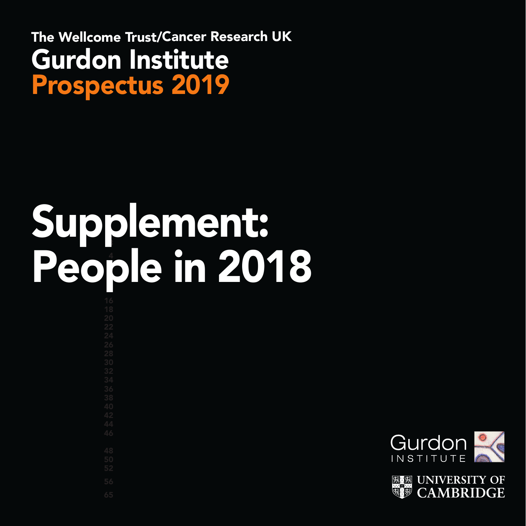The Wellcome Trust/Cancer Research UK Gurdon Institute Prospectus 2019

# 3 Supplement: 4 8 People in 2018



**CAMBRIDGE**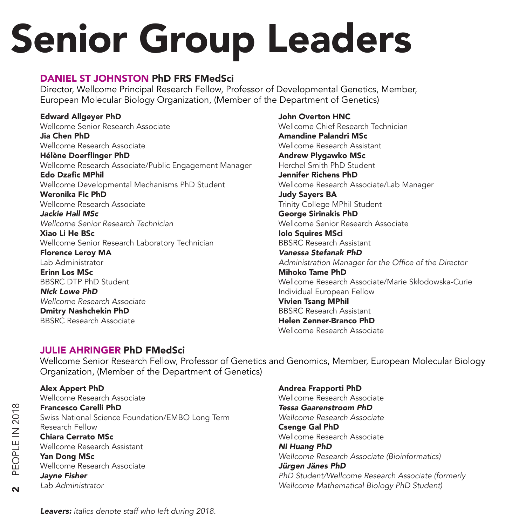# Senior Group Leaders

#### DANIEL ST JOHNSTON PhD FRS FMedSci

Director, Wellcome Principal Research Fellow, Professor of Developmental Genetics, Member, European Molecular Biology Organization, (Member of the Department of Genetics)

Edward Allgeyer PhD Wellcome Senior Research Associate Jia Chen PhD Wellcome Research Associate Hélène Doerflinger PhD Wellcome Research Associate/Public Engagement Manager Edo Dzafic MPhil Wellcome Developmental Mechanisms PhD Student Weronika Fic PhD Wellcome Research Associate *Jackie Hall MSc Wellcome Senior Research Technician* Xiao Li He BSc Wellcome Senior Research Laboratory Technician Florence Leroy MA Lab Administrator Erinn Los MSc BBSRC DTP PhD Student *Nick Lowe PhD Wellcome Research Associate* Dmitry Nashchekin PhD

BBSRC Research Associate

John Overton HNC Wellcome Chief Research Technician Amandine Palandri MSc Wellcome Research Assistant Andrew Plygawko MSc Herchel Smith PhD Student Jennifer Richens PhD Wellcome Research Associate/Lab Manager Judy Sayers BA Trinity College MPhil Student George Sirinakis PhD Wellcome Senior Research Associate Iolo Squires MSci BBSRC Research Assistant *Vanessa Stefanak PhD* Administration Manager for the Office of the Director Mihoko Tame PhD Wellcome Research Associate/Marie Skłodowska-Curie Individual European Fellow Vivien Tsang MPhil BBSRC Research Assistant Helen Zenner-Branco PhD Wellcome Research Associate

#### JULIE AHRINGER PhD FMedSci

Wellcome Senior Research Fellow, Professor of Genetics and Genomics, Member, European Molecular Biology Organization, (Member of the Department of Genetics)

#### Alex Appert PhD Wellcome Research Associate Francesco Carelli PhD Swiss National Science Foundation/EMBO Long Term Research Fellow Chiara Cerrato MSc Wellcome Research Assistant Yan Dong MSc Wellcome Research Associate *Jayne Fisher*

*Lab Administrator*

Andrea Frapporti PhD Wellcome Research Associate *Tessa Gaarenstroom PhD Wellcome Research Associate* Csenge Gal PhD Wellcome Research Associate *Ni Huang PhD Wellcome Research Associate (Bioinformatics) Jürgen Jänes PhD* PhD Student/Wellcome Research Associate (formerly Wellcome Mathematical Biology PhD Student)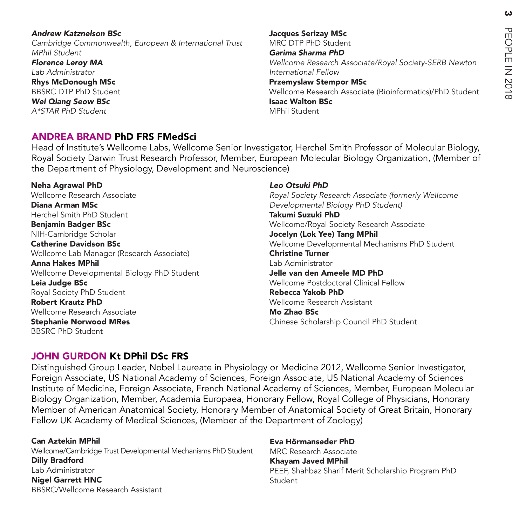#### *Andrew Katznelson BSc*

Cambridge Commonwealth, European & International Trust MPhil Student *Florence Leroy MA*

*Lab Administrator* Rhys McDonough MSc

BBSRC DTP PhD Student *Wei Qiang Seow BSc* A\*STAR PhD Student

Jacques Serizay MSc MRC DTP PhD Student *Garima Sharma PhD* Wellcome Research Associate/Royal Society-SERB Newton International Fellow Przemyslaw Stempor MSc Wellcome Research Associate (Bioinformatics)/PhD Student Isaac Walton BSc MPhil Student

#### ANDREA BRAND PhD FRS FMedSci

Head of Institute's Wellcome Labs, Wellcome Senior Investigator, Herchel Smith Professor of Molecular Biology, Royal Society Darwin Trust Research Professor, Member, European Molecular Biology Organization, (Member of the Department of Physiology, Development and Neuroscience)

Neha Agrawal PhD Wellcome Research Associate Diana Arman MSc Herchel Smith PhD Student Benjamin Badger BSc NIH-Cambridge Scholar Catherine Davidson BSc Wellcome Lab Manager (Research Associate) Anna Hakes MPhil Wellcome Developmental Biology PhD Student Leia Judge BSc Royal Society PhD Student Robert Krautz PhD Wellcome Research Associate Stephanie Norwood MRes BBSRC PhD Student

#### *Leo Otsuki PhD*

Royal Society Research Associate (formerly Wellcome Developmental Biology PhD Student) Takumi Suzuki PhD Wellcome/Royal Society Research Associate Jocelyn (Lok Yee) Tang MPhil Wellcome Developmental Mechanisms PhD Student Christine Turner Lab Administrator Jelle van den Ameele MD PhD Wellcome Postdoctoral Clinical Fellow Rebecca Yakob PhD Wellcome Research Assistant Mo Zhao BSc Chinese Scholarship Council PhD Student

#### JOHN GURDON Kt DPhil DSc FRS

Distinguished Group Leader, Nobel Laureate in Physiology or Medicine 2012, Wellcome Senior Investigator, Foreign Associate, US National Academy of Sciences, Foreign Associate, US National Academy of Sciences Institute of Medicine, Foreign Associate, French National Academy of Sciences, Member, European Molecular Biology Organization, Member, Academia Europaea, Honorary Fellow, Royal College of Physicians, Honorary Member of American Anatomical Society, Honorary Member of Anatomical Society of Great Britain, Honorary Fellow UK Academy of Medical Sciences, (Member of the Department of Zoology)

Can Aztekin MPhil Wellcome/Cambridge Trust Developmental Mechanisms PhD Student Dilly Bradford Lab Administrator Nigel Garrett HNC BBSRC/Wellcome Research Assistant

Eva Hörmanseder PhD MRC Research Associate Khayam Javed MPhil PEEF, Shahbaz Sharif Merit Scholarship Program PhD Student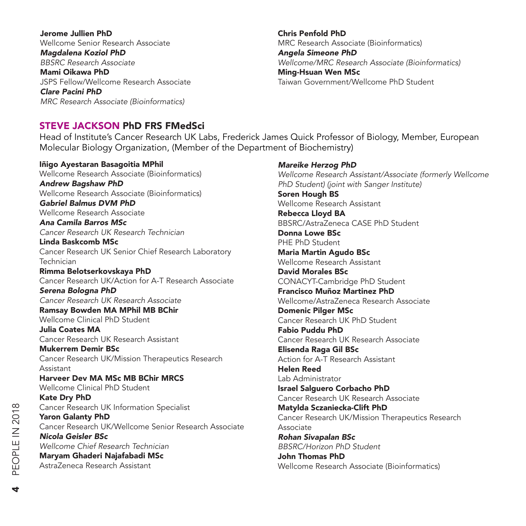Jerome Jullien PhD Wellcome Senior Research Associate *Magdalena Koziol PhD BBSRC Research Associate* Mami Oikawa PhD JSPS Fellow/Wellcome Research Associate *Clare Pacini PhD MRC Research Associate (Bioinformatics)*

Chris Penfold PhD MRC Research Associate (Bioinformatics) *Angela Simeone PhD* Wellcome/MRC Research Associate (Bioinformatics) Ming-Hsuan Wen MSc Taiwan Government/Wellcome PhD Student

#### STEVE JACKSON PhD FRS FMedSci

Head of Institute's Cancer Research UK Labs, Frederick James Quick Professor of Biology, Member, European Molecular Biology Organization, (Member of the Department of Biochemistry)

Iñigo Ayestaran Basagoitia MPhil Wellcome Research Associate (Bioinformatics) *Andrew Bagshaw PhD* Wellcome Research Associate (Bioinformatics) *Gabriel Balmus DVM PhD* Wellcome Research Associate *Ana Camila Barros MSc Cancer Research UK Research Technician* Linda Baskcomb MSc Cancer Research UK Senior Chief Research Laboratory Technician Rimma Belotserkovskaya PhD Cancer Research UK/Action for A-T Research Associate *Serena Bologna PhD Cancer Research UK Research Associate* Ramsay Bowden MA MPhil MB BChir Wellcome Clinical PhD Student Julia Coates MA Cancer Research UK Research Assistant Mukerrem Demir BSc Cancer Research UK/Mission Therapeutics Research Assistant Harveer Dev MA MSc MB BChir MRCS Wellcome Clinical PhD Student Kate Dry PhD Cancer Research UK Information Specialist Yaron Galanty PhD Cancer Research UK/Wellcome Senior Research Associate *Nicola Geisler BSc Wellcome Chief Research Technician* Maryam Ghaderi Najafabadi MSc AstraZeneca Research Assistant

*Mareike Herzog PhD*

Wellcome Research Assistant/Associate (formerly Wellcome PhD Student) (joint with Sanger Institute) Soren Hough BS Wellcome Research Assistant Rebecca Lloyd BA BBSRC/AstraZeneca CASE PhD Student Donna Lowe BSc PHE PhD Student Maria Martin Agudo BSc Wellcome Research Assistant David Morales BSc CONACYT-Cambridge PhD Student Francisco Muñoz Martinez PhD Wellcome/AstraZeneca Research Associate Domenic Pilger MSc Cancer Research UK PhD Student Fabio Puddu PhD Cancer Research UK Research Associate Elisenda Raga Gil BSc Action for A-T Research Assistant Helen Reed Lab Administrator Israel Salguero Corbacho PhD Cancer Research UK Research Associate Matylda Sczaniecka-Clift PhD Cancer Research UK/Mission Therapeutics Research Associate *Rohan Sivapalan BSc* BBSRC/Horizon PhD Student John Thomas PhD Wellcome Research Associate (Bioinformatics)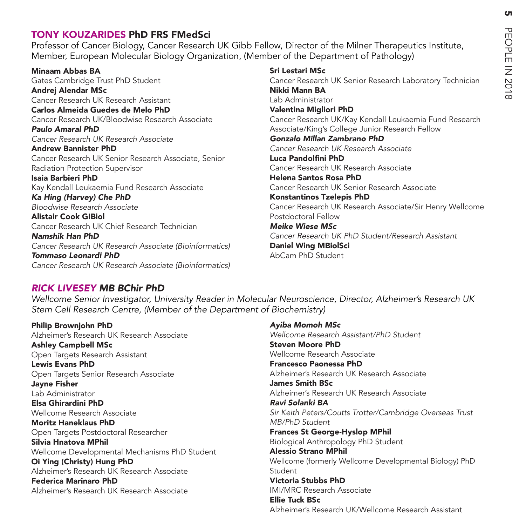#### TONY KOUZARIDES PhD FRS FMedSci

Professor of Cancer Biology, Cancer Research UK Gibb Fellow, Director of the Milner Therapeutics Institute, Member, European Molecular Biology Organization, (Member of the Department of Pathology)

#### Minaam Abbas BA Gates Cambridge Trust PhD Student Andrej Alendar MSc Cancer Research UK Research Assistant Carlos Almeida Guedes de Melo PhD Cancer Research UK/Bloodwise Research Associate *Paulo Amaral PhD Cancer Research UK Research Associate* Andrew Bannister PhD Cancer Research UK Senior Research Associate, Senior Radiation Protection Supervisor Isaia Barbieri PhD Kay Kendall Leukaemia Fund Research Associate *Ka Hing (Harvey) Che PhD Bloodwise Research Associate* Alistair Cook GIBiol Cancer Research UK Chief Research Technician *Namshik Han PhD Cancer Research UK Research Associate (Bioinformatics) Tommaso Leonardi PhD Cancer Research UK Research Associate (Bioinformatics)*

#### Sri Lestari MSc

Cancer Research UK Senior Research Laboratory Technician Nikki Mann BA Lab Administrator Valentina Migliori PhD Cancer Research UK/Kay Kendall Leukaemia Fund Research Associate/King's College Junior Research Fellow *Gonzalo Millan Zambrano PhD Cancer Research UK Research Associate* Luca Pandolfini PhD Cancer Research UK Research Associate Helena Santos Rosa PhD Cancer Research UK Senior Research Associate Konstantinos Tzelepis PhD Cancer Research UK Research Associate/Sir Henry Wellcome Postdoctoral Fellow *Meike Wiese MSc* Cancer Research UK PhD Student/Research Assistant Daniel Wing MBiolSci AbCam PhD Student

#### *RICK LIVESEY MB BChir PhD*

Wellcome Senior Investigator, University Reader in Molecular Neuroscience, Director, Alzheimer's Research UK Stem Cell Research Centre, (Member of the Department of Biochemistry)

Philip Brownjohn PhD Alzheimer's Research UK Research Associate Ashley Campbell MSc Open Targets Research Assistant Lewis Evans PhD Open Targets Senior Research Associate Jayne Fisher Lab Administrator Elsa Ghirardini PhD Wellcome Research Associate Moritz Haneklaus PhD Open Targets Postdoctoral Researcher Silvia Hnatova MPhil Wellcome Developmental Mechanisms PhD Student Oi Ying (Christy) Hung PhD Alzheimer's Research UK Research Associate Federica Marinaro PhD Alzheimer's Research UK Research Associate

*Ayiba Momoh MSc* Wellcome Research Assistant/PhD Student Steven Moore PhD Wellcome Research Associate Francesco Paonessa PhD Alzheimer's Research UK Research Associate James Smith BSc Alzheimer's Research UK Research Associate *Ravi Solanki BA* Sir Keith Peters/Coutts Trotter/Cambridge Overseas Trust MB/PhD Student Frances St George-Hyslop MPhil Biological Anthropology PhD Student Alessio Strano MPhil Wellcome (formerly Wellcome Developmental Biology) PhD Student Victoria Stubbs PhD IMI/MRC Research Associate Ellie Tuck BSc Alzheimer's Research UK/Wellcome Research Assistant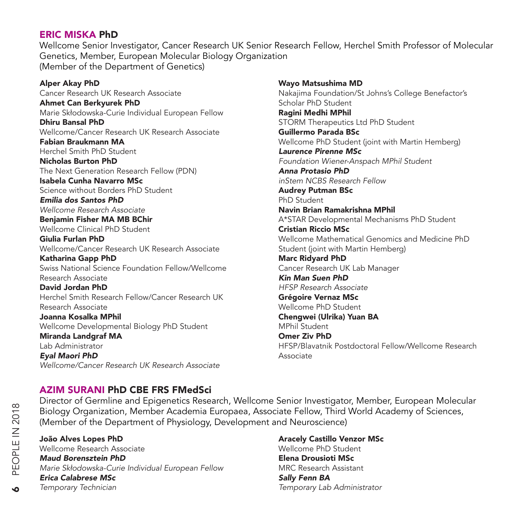#### ERIC MISKA PhD

Wellcome Senior Investigator, Cancer Research UK Senior Research Fellow, Herchel Smith Professor of Molecular Genetics, Member, European Molecular Biology Organization (Member of the Department of Genetics)

Alper Akay PhD Cancer Research UK Research Associate Ahmet Can Berkyurek PhD Marie Skłodowska-Curie Individual European Fellow Dhiru Bansal PhD Wellcome/Cancer Research UK Research Associate Fabian Braukmann MA Herchel Smith PhD Student Nicholas Burton PhD The Next Generation Research Fellow (PDN) Isabela Cunha Navarro MSc Science without Borders PhD Student *Emilia dos Santos PhD Wellcome Research Associate* Benjamin Fisher MA MB BChir Wellcome Clinical PhD Student Giulia Furlan PhD Wellcome/Cancer Research UK Research Associate Katharina Gapp PhD Swiss National Science Foundation Fellow/Wellcome Research Associate David Jordan PhD Herchel Smith Research Fellow/Cancer Research UK Research Associate Joanna Kosalka MPhil Wellcome Developmental Biology PhD Student Miranda Landgraf MA Lab Administrator *Eyal Maori PhD* Wellcome/Cancer Research UK Research Associate

Wayo Matsushima MD Nakajima Foundation/St Johns's College Benefactor's Scholar PhD Student Ragini Medhi MPhil STORM Therapeutics Ltd PhD Student Guillermo Parada BSc Wellcome PhD Student (joint with Martin Hemberg) *Laurence Pirenne MSc* Foundation Wiener-Anspach MPhil Student *Anna Protasio PhD* inStem NCBS Research Fellow Audrey Putman BSc PhD Student Navin Brian Ramakrishna MPhil A\*STAR Developmental Mechanisms PhD Student Cristian Riccio MSc Wellcome Mathematical Genomics and Medicine PhD Student (joint with Martin Hemberg) Marc Ridyard PhD Cancer Research UK Lab Manager *Kin Man Suen PhD* HFSP Research Associate Grégoire Vernaz MSc Wellcome PhD Student Chengwei (Ulrika) Yuan BA MPhil Student Omer Ziv PhD HFSP/Blavatnik Postdoctoral Fellow/Wellcome Research Associate

#### AZIM SURANI PhD CBE FRS FMedSci

Director of Germline and Epigenetics Research, Wellcome Senior Investigator, Member, European Molecular Biology Organization, Member Academia Europaea, Associate Fellow, Third World Academy of Sciences, (Member of the Department of Physiology, Development and Neuroscience)

João Alves Lopes PhD Wellcome Research Associate *Maud Borensztein PhD* Marie Skłodowska-Curie Individual European Fellow *Erica Calabrese MSc* Temporary Technician

Aracely Castillo Venzor MSc Wellcome PhD Student Elena Drousioti MSc MRC Research Assistant *Sally Fenn BA* Temporary Lab Administrator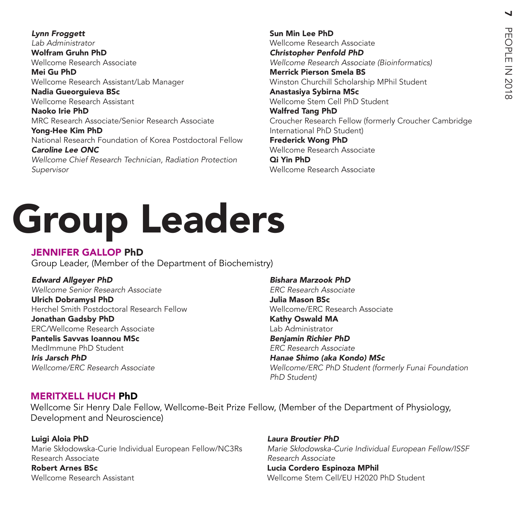*Lynn Froggett Lab Administrator* Wolfram Gruhn PhD Wellcome Research Associate Mei Gu PhD Wellcome Research Assistant/Lab Manager Nadia Gueorguieva BSc Wellcome Research Assistant Naoko Irie PhD MRC Research Associate/Senior Research Associate Yong-Hee Kim PhD National Research Foundation of Korea Postdoctoral Fellow *Caroline Lee ONC*

*Wellcome Chief Research Technician, Radiation Protection*  Supervisor

Sun Min Lee PhD Wellcome Research Associate *Christopher Penfold PhD Wellcome Research Associate (Bioinformatics)* Merrick Pierson Smela BS Winston Churchill Scholarship MPhil Student Anastasiya Sybirna MSc Wellcome Stem Cell PhD Student Walfred Tang PhD Croucher Research Fellow (formerly Croucher Cambridge International PhD Student) Frederick Wong PhD Wellcome Research Associate Qi Yin PhD Wellcome Research Associate

# Group Leaders

#### JENNIFER GALLOP PhD

Group Leader, (Member of the Department of Biochemistry)

*Edward Allgeyer PhD Wellcome Senior Research Associate*  Ulrich Dobramysl PhD Herchel Smith Postdoctoral Research Fellow

Jonathan Gadsby PhD ERC/Wellcome Research Associate

Pantelis Savvas Ioannou MSc MedImmune PhD Student *Iris Jarsch PhD* Wellcome/ERC Research Associate *Bishara Marzook PhD ERC Research Associate* Julia Mason BSc Wellcome/ERC Research Associate Kathy Oswald MA Lab Administrator *Benjamin Richier PhD ERC Research Associate Hanae Shimo (aka Kondo) MSc* Wellcome/ERC PhD Student (formerly Funai Foundation PhD Student)

#### MERITXELL HUCH PhD

Wellcome Sir Henry Dale Fellow, Wellcome-Beit Prize Fellow, (Member of the Department of Physiology, Development and Neuroscience)

Luigi Aloia PhD Marie Skłodowska-Curie Individual European Fellow/NC3Rs Research Associate Robert Arnes BSc Wellcome Research Assistant

*Laura Broutier PhD* Marie Skłodowska-Curie Individual European Fellow/ISSF *Research Associate* Lucia Cordero Espinoza MPhil Wellcome Stem Cell/EU H2020 PhD Student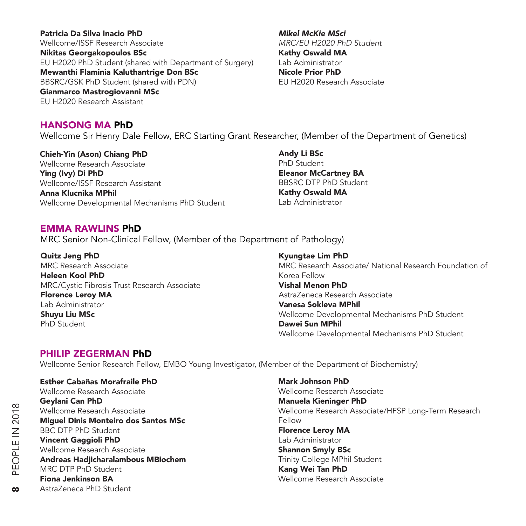Patricia Da Silva Inacio PhD Wellcome/ISSF Research Associate Nikitas Georgakopoulos BSc EU H2020 PhD Student (shared with Department of Surgery) Mewanthi Flaminia Kaluthantrige Don BSc BBSRC/GSK PhD Student (shared with PDN) Gianmarco Mastrogiovanni MSc

EU H2020 Research Assistant

#### *Mikel McKie MSci* MRC/EU H2020 PhD Student Kathy Oswald MA Lab Administrator Nicole Prior PhD EU H2020 Research Associate

HANSONG MA PhD Wellcome Sir Henry Dale Fellow, ERC Starting Grant Researcher, (Member of the Department of Genetics)

Chieh-Yin (Ason) Chiang PhD Wellcome Research Associate Ying (Ivy) Di PhD Wellcome/ISSF Research Assistant Anna Klucnika MPhil Wellcome Developmental Mechanisms PhD Student

Andy Li BSc PhD Student Eleanor McCartney BA BBSRC DTP PhD Student Kathy Oswald MA Lab Administrator

#### EMMA RAWLINS PhD

MRC Senior Non-Clinical Fellow, (Member of the Department of Pathology)

Quitz Jeng PhD MRC Research Associate Heleen Kool PhD MRC/Cystic Fibrosis Trust Research Associate Florence Leroy MA Lab Administrator Shuyu Liu MSc PhD Student

Kyungtae Lim PhD MRC Research Associate/ National Research Foundation of Korea Fellow Vishal Menon PhD AstraZeneca Research Associate Vanesa Sokleva MPhil Wellcome Developmental Mechanisms PhD Student Dawei Sun MPhil Wellcome Developmental Mechanisms PhD Student

#### PHILIP ZEGERMAN PhD

Wellcome Senior Research Fellow, EMBO Young Investigator, (Member of the Department of Biochemistry)

Esther Cabañas Morafraile PhD Wellcome Research Associate Geylani Can PhD Wellcome Research Associate Miguel Dinis Monteiro dos Santos MSc BBC DTP PhD Student Vincent Gaggioli PhD Wellcome Research Associate Andreas Hadjicharalambous MBiochem MRC DTP PhD Student Fiona Jenkinson BA AstraZeneca PhD Student

Mark Johnson PhD Wellcome Research Associate Manuela Kieninger PhD Wellcome Research Associate/HFSP Long-Term Research Fellow Florence Leroy MA Lab Administrator Shannon Smyly BSc Trinity College MPhil Student Kang Wei Tan PhD Wellcome Research Associate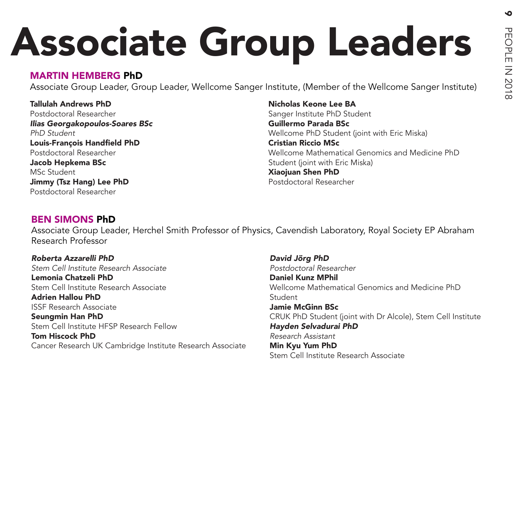# Associate Group Leaders

#### MARTIN HEMBERG PhD

Associate Group Leader, Group Leader, Wellcome Sanger Institute, (Member of the Wellcome Sanger Institute)

Tallulah Andrews PhD Postdoctoral Researcher *Ilias Georgakopoulos-Soares BSc* PhD Student Louis-François Handfield PhD Postdoctoral Researcher Jacob Hepkema BSc MSc Student Jimmy (Tsz Hang) Lee PhD Postdoctoral Researcher

Nicholas Keone Lee BA Sanger Institute PhD Student Guillermo Parada BSc Wellcome PhD Student (joint with Eric Miska) Cristian Riccio MSc Wellcome Mathematical Genomics and Medicine PhD Student (joint with Eric Miska) Xiaojuan Shen PhD Postdoctoral Researcher

#### BEN SIMONS PhD

Associate Group Leader, Herchel Smith Professor of Physics, Cavendish Laboratory, Royal Society EP Abraham Research Professor

*Roberta Azzarelli PhD* Stem Cell Institute Research Associate Lemonia Chatzeli PhD Stem Cell Institute Research Associate Adrien Hallou PhD ISSF Research Associate Seungmin Han PhD Stem Cell Institute HFSP Research Fellow Tom Hiscock PhD Cancer Research UK Cambridge Institute Research Associate *David Jörg PhD Postdoctoral Researcher* Daniel Kunz MPhil Wellcome Mathematical Genomics and Medicine PhD Student Jamie McGinn BSc CRUK PhD Student (joint with Dr Alcole), Stem Cell Institute *Hayden Selvadurai PhD Research Assistant* Min Kyu Yum PhD Stem Cell Institute Research Associate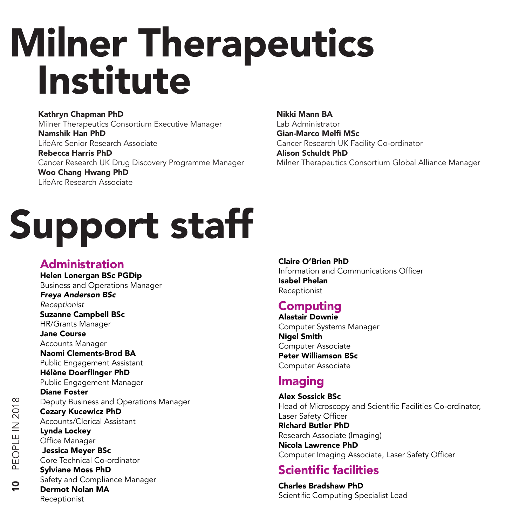# Milner Therapeutics Institute

#### Kathryn Chapman PhD

Milner Therapeutics Consortium Executive Manager Namshik Han PhD LifeArc Senior Research Associate Rebecca Harris PhD Cancer Research UK Drug Discovery Programme Manager

Woo Chang Hwang PhD LifeArc Research Associate

# Support staff

## Administration

Helen Lonergan BSc PGDip Business and Operations Manager *Freya Anderson BSc* Receptionist Suzanne Campbell BSc HR/Grants Manager Jane Course Accounts Manager Naomi Clements-Brod BA Public Engagement Assistant Hélène Doerflinger PhD Public Engagement Manager Diane Foster Deputy Business and Operations Manager Cezary Kucewicz PhD Accounts/Clerical Assistant Lynda Lockey Office Manager Jessica Meyer BSc Core Technical Co-ordinator Sylviane Moss PhD Safety and Compliance Manager Dermot Nolan MA Receptionist

Nikki Mann BA Lab Administrator Gian-Marco Melfi MSc Cancer Research UK Facility Co-ordinator Alison Schuldt PhD Milner Therapeutics Consortium Global Alliance Manager

#### Claire O'Brien PhD Information and Communications Officer Isabel Phelan Receptionist

# Computing

Alastair Downie Computer Systems Manager Nigel Smith Computer Associate Peter Williamson BSc Computer Associate

## **Imaging**

Alex Sossick BSc Head of Microscopy and Scientific Facilities Co-ordinator, Laser Safety Officer Richard Butler PhD Research Associate (Imaging) Nicola Lawrence PhD Computer Imaging Associate, Laser Safety Officer

# Scientific facilities

Charles Bradshaw PhD Scientific Computing Specialist Lead